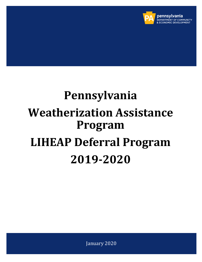

# **Pennsylvania Weatherization Assistance Program LIHEAP Deferral Program 2019-2020**

January 2020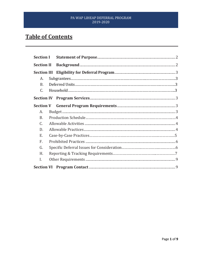# **Table of Contents**

| <b>Section I</b>  |  |  |  |
|-------------------|--|--|--|
| <b>Section II</b> |  |  |  |
|                   |  |  |  |
| А.                |  |  |  |
| <b>B.</b>         |  |  |  |
| C.                |  |  |  |
|                   |  |  |  |
|                   |  |  |  |
| А.                |  |  |  |
| B.                |  |  |  |
| C.                |  |  |  |
| D.                |  |  |  |
| E.                |  |  |  |
| F.                |  |  |  |
| G.                |  |  |  |
| H.                |  |  |  |
| I.                |  |  |  |
|                   |  |  |  |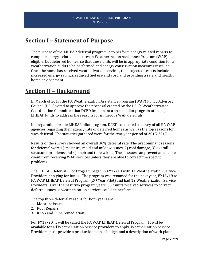# **Section I – Statement of Purpose**

The purpose of the LIHEAP deferral program is to perform energy related repairs to complete energy-related measures in Weatherization Assistance Program (WAP) eligible, but deferred homes, so that these units will be in appropriate condition for a weatherization audit to be performed and energy conservation measures installed. Once the home has received weatherization services, the projected results include increased energy savings, reduced fuel use and cost, and providing a safe and healthy home environment.

# **Section II – Background**

In March of 2017, the PA Weatherization Assistance Program (WAP) Policy Advisory Council (PAC) voted to approve the proposal created by the PAC's Weatherization Coordination Committee that DCED implement a special pilot program utilizing LIHEAP funds to address the reasons for numerous WAP deferrals.

In preparation for the LIHEAP pilot program, DCED conducted a survey of all PA WAP agencies regarding their agency rate of deferred homes as well as the top reasons for such deferral. The statistics gathered were for the two-year period of 2015-2017.

Results of the survey showed an overall 36% deferral rate. The predominant reasons for deferral were 1) moisture, mold and mildew issues, 2) roof damage, 3) overall structural problems and 4) knob and tube wiring. These issues can prevent an eligible client from receiving WAP services unless they are able to correct the specific problems.

The LIHEAP Deferral Pilot Program began in FY17/18 with 11 Weatherization Service Providers applying for funds. The program was renamed for the next year, FY18/19 to PA WAP LIHEAP Deferral Program (2nd Year Pilot) and had 12 Weatherization Service Providers. Over the past two program years, 357 units received services to correct deferral issues so weatherization services could be performed.

The top three deferral reasons for both years are:

- 1. Moisture issues
- 2. Roof Repairs
- 3. Knob and Tube remediation

For FY19/20, it will be called the PA WAP LIHEAP Deferral Program. It will be available for all Weatherization Service providers to apply. Weatherization Service Providers must provide a production plan, a budget and a description of work planned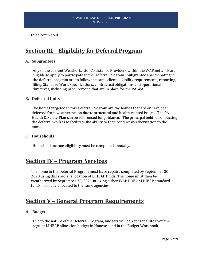to be completed.

# **Section III – Eligibility for Deferral Program**

#### **A. Subgrantees**

Any of the current Weatherization Assistance Providers within the WAP network are eligible to apply to participate in the Deferral Program. Subgrantees participating in the deferral program are to follow the same client eligibility requirements, reporting, filing, Standard Work Specifications, contractual obligations and operational directives, including procurement, that are in place for the PA WAP.

#### **B. Deferred Units**

The homes targeted in this Deferral Program are the homes that are or have been deferred from weatherization due to structural and health-related issues. The PA Health & Safety Plan can be referenced for guidance. The principal behind conducting the deferral work is to facilitate the ability to then conduct weatherization to the home.

#### **C. Households**

Household income eligibility must be completed annually.

## **Section IV – Program Services**

The home in the Deferral Program must have repairs completed by September 30, 2020 using this special allocation of LIHEAP funds. The home must then be weatherized by September 30, 2021 utilizing either WAP DOE or LIHEAP standard funds normally allocated to the same agencies.

# **Section V – General Program Requirements**

#### **A. Budget**

Due to the nature of the Deferral Program, budgets will be kept separate from the regular LIHEAP allocation budget in Hancock and in the Budget Workbook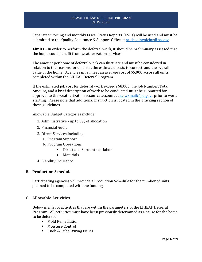Separate invoicing and monthly Fiscal Status Reports (FSRs) will be used and must be submitted to the Quality Assurance & Support Office at [ra-dcedinvoicing@pa.gov.](mailto:ra-dcedinvoicing@pa.gov)

**Limits** – In order to perform the deferral work, it should be preliminary assessed that the home could benefit from weatherization services.

The amount per home of deferral work can fluctuate and must be considered in relation to the reasons for deferral, the estimated costs to correct, and the overall value of the home. Agencies must meet an average cost of \$5,000 across all units completed within the LIHEAP Deferral Program.

If the estimated job cost for deferral work exceeds \$8,000, the Job Number, Total Amount**,** and a brief description of work to be conducted **must** be submitted for approval to the weatherization resource account at  $ra$ -wxmail@pa.gov, prior to work starting. Please note that additional instruction is located in the Tracking section of these guidelines.

Allowable Budget Categories include:

- 1. Administrative up to 8% of allocation
- 2. Financial Audit
- 3. Direct Services including:
	- a. Program Support
	- b. Program Operations
		- Direct and Subcontract labor
		- Materials
- 4. Liability Insurance

#### **B. Production Schedule**

Participating agencies will provide a Production Schedule for the number of units planned to be completed with the funding.

#### **C. Allowable Activities**

Below is a list of activities that are within the parameters of the LIHEAP Deferral Program. All activities must have been previously determined as a cause for the home to be deferred.

- Mold Remediation
- Moisture Control
- Knob & Tube Wiring Issues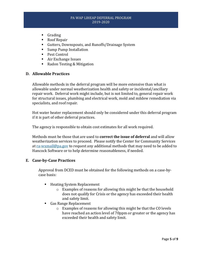- Grading
- Roof Repair
- Gutters, Downspouts, and Runoffs/Drainage System
- Sump Pump Installation
- Pest Control
- Air Exchange Issues
- Radon Testing & Mitigation

#### **D. Allowable Practices**

Allowable methods in the deferral program will be more extensive than what is allowable under normal weatherization health and safety or incidental/ancillary repair work. Deferral work might include, but is not limited to, general repair work for structural issues, plumbing and electrical work, mold and mildew remediation via specialists, and roof repair.

Hot water heater replacement should only be considered under this deferral program if it is part of other deferral practices.

The agency is responsible to obtain cost estimates for all work required.

Methods must be those that are used to **correct the issue of deferral** and will allow weatherization services to proceed. Please notify the Center for Community Services a[t ra-wxmail@pa.gov](mailto:ra-wxmail@pa.gov) to request any additional methods that may need to be added to Hancock Software or to help determine reasonableness, if needed.

#### **E. Case-by-Case Practices**

Approval from DCED must be obtained for the following methods on a case-bycase basis:

- Heating System Replacement
	- o Examples of reasons for allowing this might be that the household does not qualify for Crisis or the agency has exceeded their health and safety limit.
- Gas Range Replacement
	- o Examples of reasons for allowing this might be that the CO levels have reached an action level of 70ppm or greater or the agency has exceeded their health and safety limit.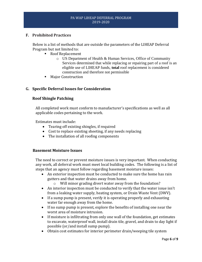#### **F. Prohibited Practices**

Below is a list of methods that are outside the parameters of the LIHEAP Deferral Program but not limited to:

- Roof Replacement
	- o US Department of Health & Human Services, Office of Community Services determined that while replacing or repairing part of a roof is an eligible use of LIHEAP funds, **total** roof replacement is considered construction and therefore not permissible
	- **Major Construction**

#### **G. Specific Deferral Issues for Consideration**

#### **Roof Shingle Patching**

All completed work must conform to manufacturer's specifications as well as all applicable codes pertaining to the work.

Estimates must include:

- Tearing off existing shingles, if required
- Cost to replace existing sheeting, if any needs replacing
- The installation of all roofing components

#### **Basement Moisture Issues**

The need to correct or prevent moisture issues is very important. When conducting any work, all deferral work must meet local building codes. The following is a list of steps that an agency must follow regarding basement moisture issues:

- An exterior inspection must be conducted to make sure the home has rain gutters and that water drains away from home.
	- o Will minor grading divert water away from the foundation?
- An interior inspection must be conducted to verify that the water issue isn't from a leaking water supply, heating system, or Drain Waste Vent (DWV).
- If a sump pump is present, verify it is operating properly and exhausting water far enough away from the home.
- If no sump pump is present, explore the benefits of installing one near the worst area of moisture intrusion.
- If moisture is infiltrating from only one wall of the foundation, get estimates to excavate, waterproof wall, install drain tile, gravel, and drain to day light if possible (or/and install sump pump).
- Obtain cost estimates for interior perimeter drain/weeping tile system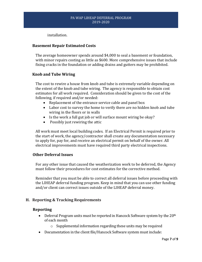installation.

#### **Basement Repair Estimated Costs**

The average homeowner spends around \$4,000 to seal a basement or foundation, with minor repairs costing as little as \$600. More comprehensive issues that include fixing cracks in the foundation or adding drains and gutters may be prohibited.

#### **Knob and Tube Wiring**

The cost to rewire a house from knob and tube is extremely variable depending on the extent of the knob and tube wiring. The agency is responsible to obtain cost estimates for all work required. Consideration should be given to the cost of the following, if required and/or needed:

- Replacement of the entrance service cable and panel box
- Labor cost to survey the home to verify there are no hidden knob and tube wiring in the floors or in walls
- Is the work a full gut job or will surface mount wiring be okay?
- Possibly just rewiring the attic

All work must meet local building codes. If an Electrical Permit is required prior to the start of work, the agency/contractor shall create any documentation necessary to apply for, pay for, and receive an electrical permit on behalf of the owner. All electrical improvements must have required third party electrical inspections.

#### **Other Deferral Issues**

For any other issue that caused the weatherization work to be deferred, the Agency must follow their procedures for cost estimates for the corrective method.

Reminder that you must be able to correct all deferral issues before proceeding with the LIHEAP deferral funding program. Keep in mind that you can use other funding and/or client can correct issues outside of the LIHEAP deferral money.

#### **H. Reporting & Tracking Requirements**

#### **Reporting**

- Deferral Program units must be reported in Hancock Software system by the  $20<sup>th</sup>$ of each month
	- o Supplemental information regarding these units may be required
- Documentation in the client file/Hancock Software system must include: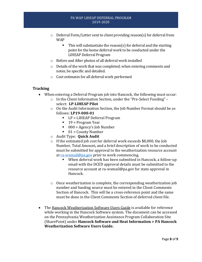- $\circ$  Deferral Form/Letter sent to client providing reason(s) for deferral from WAP
	- $\blacksquare$  This will substantiate the reason(s) for deferral and the starting point for the home deferral work to be conducted under the LIHEAP Deferral Program
- o Before and After photos of all deferral work installed
- o Details of the work that was completed; when entering comments and notes, be specific and detailed.
- o Cost estimates for all deferral work performed

#### **Tracking**

- When entering a Deferral Program job into Hancock, the following must occur:
	- o In the Client Information Section, under the "Pre-Select Funding" select: **LP-LIHEAP Pilot**
	- o On the Audit Information Section, the Job Number Format should be as follows: **LP19-000-01**
		- LP = LIHEAP Deferral Program
		- $\blacksquare$  19 = Program Year
		- $\blacksquare$  000 = Agency's Job Number
		- $\blacksquare$  01 = County Number
	- o Audit Type: **Quick Audit**
	- o If the estimated job cost for deferral work exceeds \$8,000, the Job Number, Total Amount**,** and a brief description of work to be conducted must be submitted for approval to the weatherization resource account at [ra-wxmail@pa.gov](mailto:ra-wxmail@pa.gov) prior to work commencing.
		- When deferral work has been submitted in Hancock, a follow-up email with the DCED approval details must be submitted to the resource account at ra-wxmail@pa.gov for state approval in Hancock.
	- $\circ$  Once weatherization is complete, the corresponding weatherization job number and funding source must be entered in the Client Comments Section of Hancock. This will be a cross-reference point and the same must be done in the Client Comments Section of deferred client file.
- The Hancock Weatherization Software Users Guide is available for reference while working in the Hancock Software system. The document can be accessed on the Pennsylvania Weatherization Assistance Program Collaboration Site (SharePoint) under **Hancock Software and Heat Information > PA Hancock Weatherization Software Users Guide.**